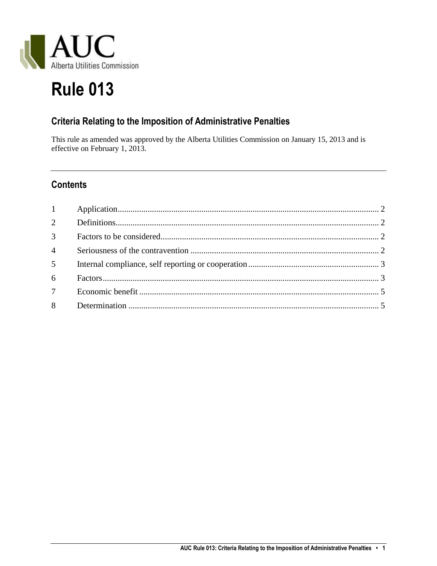

# **Rule 013**

## **Criteria Relating to the Imposition of Administrative Penalties**

This rule as amended was approved by the Alberta Utilities Commission on January 15, 2013 and is effective on February 1, 2013.

## **Contents**

| 3 <sup>1</sup>  |  |
|-----------------|--|
| $4 \quad$       |  |
|                 |  |
| 6               |  |
| $7\overline{ }$ |  |
|                 |  |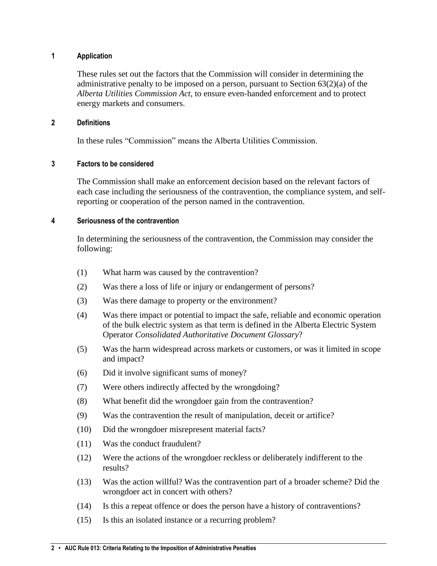#### <span id="page-1-0"></span>**1 Application**

These rules set out the factors that the Commission will consider in determining the administrative penalty to be imposed on a person, pursuant to Section  $63(2)(a)$  of the *Alberta Utilities Commission Act*, to ensure even-handed enforcement and to protect energy markets and consumers.

#### <span id="page-1-1"></span>**2 Definitions**

In these rules "Commission" means the Alberta Utilities Commission.

#### <span id="page-1-2"></span>**3 Factors to be considered**

The Commission shall make an enforcement decision based on the relevant factors of each case including the seriousness of the contravention, the compliance system, and selfreporting or cooperation of the person named in the contravention.

#### <span id="page-1-3"></span>**4 Seriousness of the contravention**

In determining the seriousness of the contravention, the Commission may consider the following:

- (1) What harm was caused by the contravention?
- (2) Was there a loss of life or injury or endangerment of persons?
- (3) Was there damage to property or the environment?
- (4) Was there impact or potential to impact the safe, reliable and economic operation of the bulk electric system as that term is defined in the Alberta Electric System Operator *Consolidated Authoritative Document Glossary*?
- (5) Was the harm widespread across markets or customers, or was it limited in scope and impact?
- (6) Did it involve significant sums of money?
- (7) Were others indirectly affected by the wrongdoing?
- (8) What benefit did the wrongdoer gain from the contravention?
- (9) Was the contravention the result of manipulation, deceit or artifice?
- (10) Did the wrongdoer misrepresent material facts?
- (11) Was the conduct fraudulent?
- (12) Were the actions of the wrongdoer reckless or deliberately indifferent to the results?
- (13) Was the action willful? Was the contravention part of a broader scheme? Did the wrongdoer act in concert with others?
- (14) Is this a repeat offence or does the person have a history of contraventions?
- (15) Is this an isolated instance or a recurring problem?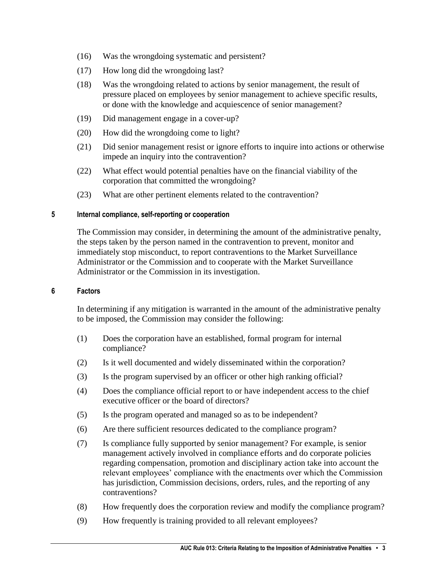- (16) Was the wrongdoing systematic and persistent?
- (17) How long did the wrongdoing last?
- (18) Was the wrongdoing related to actions by senior management, the result of pressure placed on employees by senior management to achieve specific results, or done with the knowledge and acquiescence of senior management?
- (19) Did management engage in a cover-up?
- (20) How did the wrongdoing come to light?
- (21) Did senior management resist or ignore efforts to inquire into actions or otherwise impede an inquiry into the contravention?
- (22) What effect would potential penalties have on the financial viability of the corporation that committed the wrongdoing?
- (23) What are other pertinent elements related to the contravention?

#### <span id="page-2-0"></span>**5 Internal compliance, self-reporting or cooperation**

The Commission may consider, in determining the amount of the administrative penalty, the steps taken by the person named in the contravention to prevent, monitor and immediately stop misconduct, to report contraventions to the Market Surveillance Administrator or the Commission and to cooperate with the Market Surveillance Administrator or the Commission in its investigation.

#### <span id="page-2-1"></span>**6 Factors**

In determining if any mitigation is warranted in the amount of the administrative penalty to be imposed, the Commission may consider the following:

- (1) Does the corporation have an established, formal program for internal compliance?
- (2) Is it well documented and widely disseminated within the corporation?
- (3) Is the program supervised by an officer or other high ranking official?
- (4) Does the compliance official report to or have independent access to the chief executive officer or the board of directors?
- (5) Is the program operated and managed so as to be independent?
- (6) Are there sufficient resources dedicated to the compliance program?
- (7) Is compliance fully supported by senior management? For example, is senior management actively involved in compliance efforts and do corporate policies regarding compensation, promotion and disciplinary action take into account the relevant employees' compliance with the enactments over which the Commission has jurisdiction, Commission decisions, orders, rules, and the reporting of any contraventions?
- (8) How frequently does the corporation review and modify the compliance program?
- (9) How frequently is training provided to all relevant employees?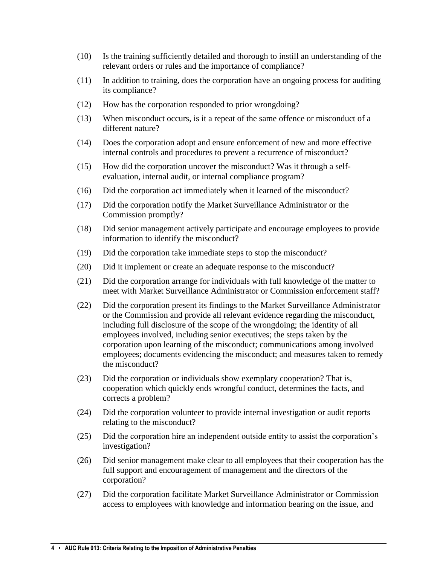- (10) Is the training sufficiently detailed and thorough to instill an understanding of the relevant orders or rules and the importance of compliance?
- (11) In addition to training, does the corporation have an ongoing process for auditing its compliance?
- (12) How has the corporation responded to prior wrongdoing?
- (13) When misconduct occurs, is it a repeat of the same offence or misconduct of a different nature?
- (14) Does the corporation adopt and ensure enforcement of new and more effective internal controls and procedures to prevent a recurrence of misconduct?
- (15) How did the corporation uncover the misconduct? Was it through a selfevaluation, internal audit, or internal compliance program?
- (16) Did the corporation act immediately when it learned of the misconduct?
- (17) Did the corporation notify the Market Surveillance Administrator or the Commission promptly?
- (18) Did senior management actively participate and encourage employees to provide information to identify the misconduct?
- (19) Did the corporation take immediate steps to stop the misconduct?
- (20) Did it implement or create an adequate response to the misconduct?
- (21) Did the corporation arrange for individuals with full knowledge of the matter to meet with Market Surveillance Administrator or Commission enforcement staff?
- (22) Did the corporation present its findings to the Market Surveillance Administrator or the Commission and provide all relevant evidence regarding the misconduct, including full disclosure of the scope of the wrongdoing; the identity of all employees involved, including senior executives; the steps taken by the corporation upon learning of the misconduct; communications among involved employees; documents evidencing the misconduct; and measures taken to remedy the misconduct?
- (23) Did the corporation or individuals show exemplary cooperation? That is, cooperation which quickly ends wrongful conduct, determines the facts, and corrects a problem?
- (24) Did the corporation volunteer to provide internal investigation or audit reports relating to the misconduct?
- (25) Did the corporation hire an independent outside entity to assist the corporation's investigation?
- (26) Did senior management make clear to all employees that their cooperation has the full support and encouragement of management and the directors of the corporation?
- (27) Did the corporation facilitate Market Surveillance Administrator or Commission access to employees with knowledge and information bearing on the issue, and